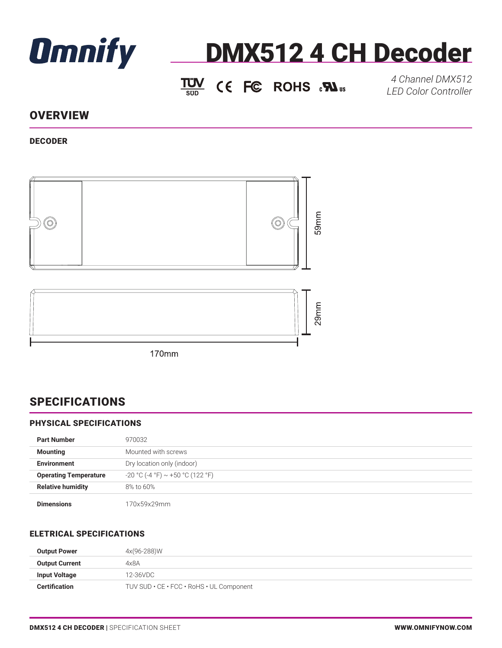



 $\underline{TW}$   $\overline{C}$   $\overline{C}$  ROHS  $\overline{C}$   $\overline{M}$ <sub>us</sub>

*4 Channel DMX512 LED Color Controller*

## **OVERVIEW**

DECODER





170mm

## SPECIFICATIONS

## PHYSICAL SPECIFICATIONS

| <b>Part Number</b>           | 970032                             |
|------------------------------|------------------------------------|
| <b>Mounting</b>              | Mounted with screws                |
| <b>Environment</b>           | Dry location only (indoor)         |
| <b>Operating Temperature</b> | $-20$ °C (-4 °F) ~ +50 °C (122 °F) |
| <b>Relative humidity</b>     | 8% to 60%                          |
| <b>Dimensions</b>            | 70x59x29mm                         |

## ELETRICAL SPECIFICATIONS

| <b>Output Power</b>   | 4x(96-288)W                              |
|-----------------------|------------------------------------------|
| <b>Output Current</b> | 4x8A                                     |
| <b>Input Voltage</b>  | 12-36VDC                                 |
| <b>Certification</b>  | TUV SUD • CE • FCC • RoHS • UL Component |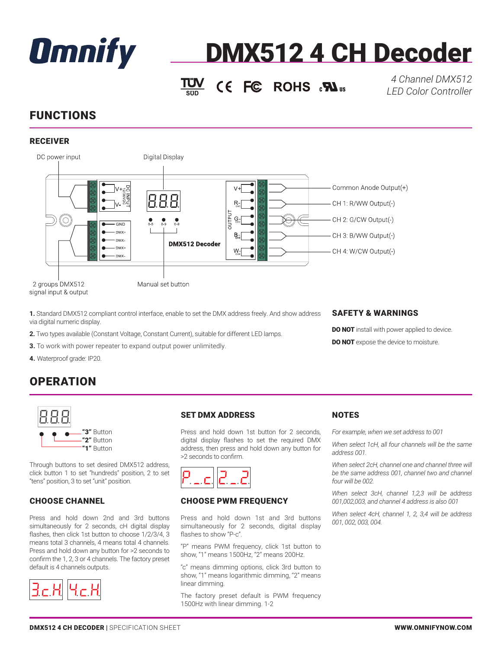

# DMX512 4 CH Decoder

 $\underline{TW}$  CE FC ROHS  $\overline{S}$ <sub>us</sub>

*4 Channel DMX512 LED Color Controller*

# FUNCTIONS

## RECEIVER



**1.** Standard DMX512 compliant control interface, enable to set the DMX address freely. And show address via digital numeric display.

- **2.** Two types available (Constant Voltage, Constant Current), suitable for different LED lamps.
- **3.** To work with power repeater to expand output power unlimitedly.
- **4.** Waterproof grade: IP20.

## **OPERATION**



Through buttons to set desired DMX512 address, click button 1 to set "hundreds" position, 2 to set "tens" position, 3 to set "unit" position.

## CHOOSE CHANNEL

Press and hold down 2nd and 3rd buttons simultaneously for 2 seconds, cH digital display flashes, then click 1st button to choose 1/2/3/4, 3 means total 3 channels, 4 means total 4 channels. Press and hold down any button for >2 seconds to confirm the 1, 2, 3 or 4 channels. The factory preset default is 4 channels outputs.



### SET DMX ADDRESS

Press and hold down 1st button for 2 seconds, digital display flashes to set the required DMX address, then press and hold down any button for >2 seconds to confirm.



#### CHOOSE PWM FREQUENCY

Press and hold down 1st and 3rd buttons simultaneously for 2 seconds, digital display flashes to show "P-c".

"P" means PWM frequency, click 1st button to show, "1" means 1500Hz, "2" means 200Hz.

"c" means dimming options, click 3rd button to show, "1" means logarithmic dimming, "2" means linear dimming.

The factory preset default is PWM frequency 1500Hz with linear dimming. 1-2

#### **NOTES**

*For example, when we set address to 001*

SAFETY & WARNINGS

**DO NOT** install with power applied to device. **DO NOT** expose the device to moisture.

*When select 1cH, all four channels will be the same address 001.*

*When select 2cH, channel one and channel three will be the same address 001, channel two and channel four will be 002.*

*When select 3cH, channel 1,2,3 will be address 001,002,003, and channel 4 address is also 001*

*When select 4cH, channel 1, 2, 3,4 will be address 001, 002, 003, 004.*